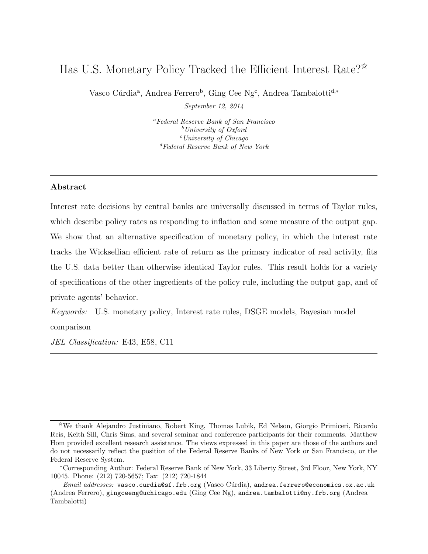# Has U.S. Monetary Policy Tracked the Efficient Interest Rate?<sup>\*</sup>

Vasco Cúrdia<sup>a</sup>, Andrea Ferrero<sup>b</sup>, Ging Cee Ng<sup>c</sup>, Andrea Tambalotti<sup>d,\*</sup>

September 12, 2014

<sup>a</sup>Federal Reserve Bank of San Francisco  $b$ University of Oxford  $c$ University of Chicago <sup>d</sup>Federal Reserve Bank of New York

## Abstract

Interest rate decisions by central banks are universally discussed in terms of Taylor rules, which describe policy rates as responding to inflation and some measure of the output gap. We show that an alternative specification of monetary policy, in which the interest rate tracks the Wicksellian efficient rate of return as the primary indicator of real activity, fits the U.S. data better than otherwise identical Taylor rules. This result holds for a variety of specifications of the other ingredients of the policy rule, including the output gap, and of private agents' behavior.

Keywords: U.S. monetary policy, Interest rate rules, DSGE models, Bayesian model

comparison

JEL Classification: E43, E58, C11

<sup>✩</sup>We thank Alejandro Justiniano, Robert King, Thomas Lubik, Ed Nelson, Giorgio Primiceri, Ricardo Reis, Keith Sill, Chris Sims, and several seminar and conference participants for their comments. Matthew Hom provided excellent research assistance. The views expressed in this paper are those of the authors and do not necessarily reflect the position of the Federal Reserve Banks of New York or San Francisco, or the Federal Reserve System.

<sup>∗</sup>Corresponding Author: Federal Reserve Bank of New York, 33 Liberty Street, 3rd Floor, New York, NY 10045. Phone: (212) 720-5657; Fax: (212) 720-1844

Email addresses: vasco.curdia@sf.frb.org (Vasco Cúrdia), andrea.ferrero@economics.ox.ac.uk (Andrea Ferrero), gingceeng@uchicago.edu (Ging Cee Ng), andrea.tambalotti@ny.frb.org (Andrea Tambalotti)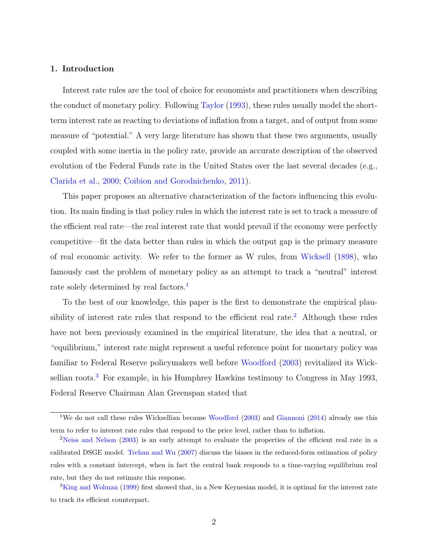# 1. Introduction

Interest rate rules are the tool of choice for economists and practitioners when describing the conduct of monetary policy. Following [Taylor](#page-22-0) [\(1993\)](#page-22-0), these rules usually model the shortterm interest rate as reacting to deviations of inflation from a target, and of output from some measure of "potential." A very large literature has shown that these two arguments, usually coupled with some inertia in the policy rate, provide an accurate description of the observed evolution of the Federal Funds rate in the United States over the last several decades (e.g., [Clarida et al.,](#page-20-0) [2000;](#page-20-0) [Coibion and Gorodnichenko,](#page-20-1) [2011\)](#page-20-1).

This paper proposes an alternative characterization of the factors influencing this evolution. Its main finding is that policy rules in which the interest rate is set to track a measure of the efficient real rate—the real interest rate that would prevail if the economy were perfectly competitive—fit the data better than rules in which the output gap is the primary measure of real economic activity. We refer to the former as W rules, from [Wicksell](#page-22-1) [\(1898\)](#page-22-1), who famously cast the problem of monetary policy as an attempt to track a "neutral" interest rate solely determined by real factors.<sup>[1](#page-1-0)</sup>

To the best of our knowledge, this paper is the first to demonstrate the empirical plau-sibility of interest rate rules that respond to the efficient real rate.<sup>[2](#page-1-1)</sup> Although these rules have not been previously examined in the empirical literature, the idea that a neutral, or "equilibrium," interest rate might represent a useful reference point for monetary policy was familiar to Federal Reserve policymakers well before [Woodford](#page-22-2) [\(2003\)](#page-22-2) revitalized its Wick-sellian roots.<sup>[3](#page-1-2)</sup> For example, in his Humphrey Hawkins testimony to Congress in May 1993, Federal Reserve Chairman Alan Greenspan stated that

<span id="page-1-0"></span><sup>&</sup>lt;sup>1</sup>We do not call these rules Wicksellian because [Woodford](#page-22-2) [\(2003\)](#page-22-2) and [Giannoni](#page-21-0) [\(2014\)](#page-21-0) already use this term to refer to interest rate rules that respond to the price level, rather than to inflation.

<span id="page-1-1"></span><sup>&</sup>lt;sup>2</sup>[Neiss and Nelson](#page-21-1) [\(2003\)](#page-21-1) is an early attempt to evaluate the properties of the efficient real rate in a calibrated DSGE model. [Trehan and Wu](#page-22-3) [\(2007\)](#page-22-3) discuss the biases in the reduced-form estimation of policy rules with a constant intercept, when in fact the central bank responds to a time-varying equilibrium real rate, but they do not estimate this response.

<span id="page-1-2"></span><sup>&</sup>lt;sup>3</sup>[King and Wolman](#page-21-2) [\(1999\)](#page-21-2) first showed that, in a New Keynesian model, it is optimal for the interest rate to track its efficient counterpart.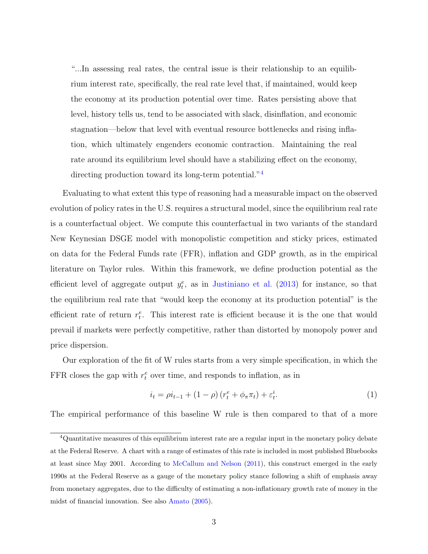"...In assessing real rates, the central issue is their relationship to an equilibrium interest rate, specifically, the real rate level that, if maintained, would keep the economy at its production potential over time. Rates persisting above that level, history tells us, tend to be associated with slack, disinflation, and economic stagnation—below that level with eventual resource bottlenecks and rising inflation, which ultimately engenders economic contraction. Maintaining the real rate around its equilibrium level should have a stabilizing effect on the economy, directing production toward its long-term potential."[4](#page-2-0)

Evaluating to what extent this type of reasoning had a measurable impact on the observed evolution of policy rates in the U.S. requires a structural model, since the equilibrium real rate is a counterfactual object. We compute this counterfactual in two variants of the standard New Keynesian DSGE model with monopolistic competition and sticky prices, estimated on data for the Federal Funds rate (FFR), inflation and GDP growth, as in the empirical literature on Taylor rules. Within this framework, we define production potential as the efficient level of aggregate output  $y_t^e$ , as in [Justiniano et al.](#page-21-3) [\(2013\)](#page-21-3) for instance, so that the equilibrium real rate that "would keep the economy at its production potential" is the efficient rate of return  $r_t^e$ . This interest rate is efficient because it is the one that would prevail if markets were perfectly competitive, rather than distorted by monopoly power and price dispersion.

Our exploration of the fit of W rules starts from a very simple specification, in which the FFR closes the gap with  $r_t^e$  over time, and responds to inflation, as in

$$
i_t = \rho i_{t-1} + (1 - \rho) (r_t^e + \phi_\pi \pi_t) + \varepsilon_t^i.
$$
 (1)

The empirical performance of this baseline W rule is then compared to that of a more

<span id="page-2-0"></span><sup>&</sup>lt;sup>4</sup>Quantitative measures of this equilibrium interest rate are a regular input in the monetary policy debate at the Federal Reserve. A chart with a range of estimates of this rate is included in most published Bluebooks at least since May 2001. According to [McCallum and Nelson](#page-21-4) [\(2011\)](#page-21-4), this construct emerged in the early 1990s at the Federal Reserve as a gauge of the monetary policy stance following a shift of emphasis away from monetary aggregates, due to the difficulty of estimating a non-inflationary growth rate of money in the midst of financial innovation. See also [Amato](#page-20-2) [\(2005\)](#page-20-2).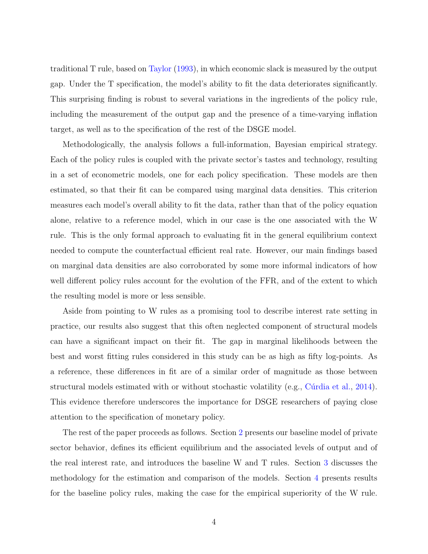traditional T rule, based on [Taylor](#page-22-0) [\(1993\)](#page-22-0), in which economic slack is measured by the output gap. Under the T specification, the model's ability to fit the data deteriorates significantly. This surprising finding is robust to several variations in the ingredients of the policy rule, including the measurement of the output gap and the presence of a time-varying inflation target, as well as to the specification of the rest of the DSGE model.

Methodologically, the analysis follows a full-information, Bayesian empirical strategy. Each of the policy rules is coupled with the private sector's tastes and technology, resulting in a set of econometric models, one for each policy specification. These models are then estimated, so that their fit can be compared using marginal data densities. This criterion measures each model's overall ability to fit the data, rather than that of the policy equation alone, relative to a reference model, which in our case is the one associated with the W rule. This is the only formal approach to evaluating fit in the general equilibrium context needed to compute the counterfactual efficient real rate. However, our main findings based on marginal data densities are also corroborated by some more informal indicators of how well different policy rules account for the evolution of the FFR, and of the extent to which the resulting model is more or less sensible.

Aside from pointing to W rules as a promising tool to describe interest rate setting in practice, our results also suggest that this often neglected component of structural models can have a significant impact on their fit. The gap in marginal likelihoods between the best and worst fitting rules considered in this study can be as high as fifty log-points. As a reference, these differences in fit are of a similar order of magnitude as those between structural models estimated with or without stochastic volatility (e.g., Cúrdia et al.,  $2014$ ). This evidence therefore underscores the importance for DSGE researchers of paying close attention to the specification of monetary policy.

The rest of the paper proceeds as follows. Section [2](#page-4-0) presents our baseline model of private sector behavior, defines its efficient equilibrium and the associated levels of output and of the real interest rate, and introduces the baseline W and T rules. Section [3](#page-8-0) discusses the methodology for the estimation and comparison of the models. Section [4](#page-10-0) presents results for the baseline policy rules, making the case for the empirical superiority of the W rule.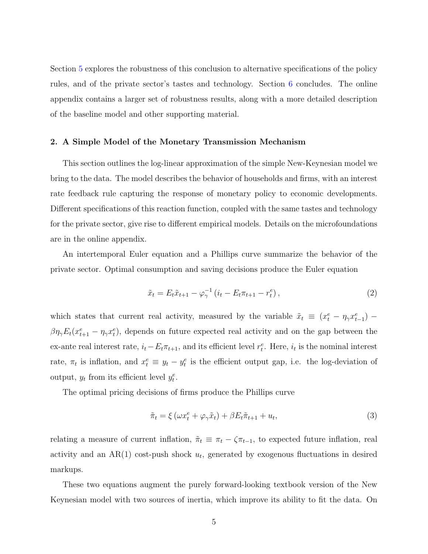Section [5](#page-14-0) explores the robustness of this conclusion to alternative specifications of the policy rules, and of the private sector's tastes and technology. Section [6](#page-18-0) concludes. The online appendix contains a larger set of robustness results, along with a more detailed description of the baseline model and other supporting material.

#### <span id="page-4-0"></span>2. A Simple Model of the Monetary Transmission Mechanism

This section outlines the log-linear approximation of the simple New-Keynesian model we bring to the data. The model describes the behavior of households and firms, with an interest rate feedback rule capturing the response of monetary policy to economic developments. Different specifications of this reaction function, coupled with the same tastes and technology for the private sector, give rise to different empirical models. Details on the microfoundations are in the online appendix.

An intertemporal Euler equation and a Phillips curve summarize the behavior of the private sector. Optimal consumption and saving decisions produce the Euler equation

<span id="page-4-1"></span>
$$
\tilde{x}_t = E_t \tilde{x}_{t+1} - \varphi_{\gamma}^{-1} (i_t - E_t \pi_{t+1} - r_t^e), \qquad (2)
$$

which states that current real activity, measured by the variable  $\tilde{x}_t \equiv (x_t^e - \eta_\gamma x_{t-1}^e)$  $\beta\eta_{\gamma}E_t(x_{t+1}^e - \eta_{\gamma}x_t^e)$ , depends on future expected real activity and on the gap between the ex-ante real interest rate,  $i_t - E_t \pi_{t+1}$ , and its efficient level  $r_t^e$ . Here,  $i_t$  is the nominal interest rate,  $\pi_t$  is inflation, and  $x_t^e \equiv y_t - y_t^e$  is the efficient output gap, i.e. the log-deviation of output,  $y_t$  from its efficient level  $y_t^e$ .

The optimal pricing decisions of firms produce the Phillips curve

<span id="page-4-2"></span>
$$
\tilde{\pi}_t = \xi \left( \omega x_t^e + \varphi_\gamma \tilde{x}_t \right) + \beta E_t \tilde{\pi}_{t+1} + u_t,\tag{3}
$$

relating a measure of current inflation,  $\tilde{\pi}_t \equiv \pi_t - \zeta \pi_{t-1}$ , to expected future inflation, real activity and an  $AR(1)$  cost-push shock  $u_t$ , generated by exogenous fluctuations in desired markups.

These two equations augment the purely forward-looking textbook version of the New Keynesian model with two sources of inertia, which improve its ability to fit the data. On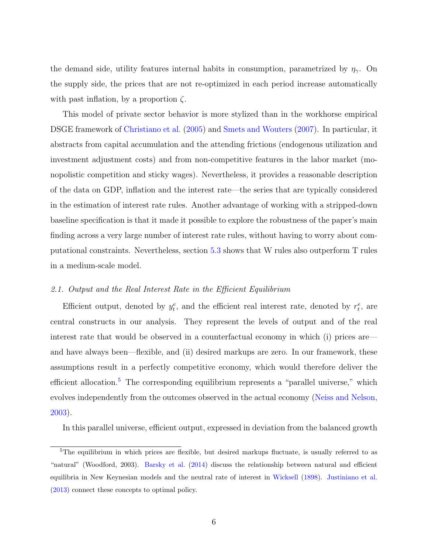the demand side, utility features internal habits in consumption, parametrized by  $\eta_{\gamma}$ . On the supply side, the prices that are not re-optimized in each period increase automatically with past inflation, by a proportion  $\zeta$ .

This model of private sector behavior is more stylized than in the workhorse empirical DSGE framework of [Christiano et al.](#page-20-4) [\(2005\)](#page-20-4) and [Smets and Wouters](#page-22-4) [\(2007\)](#page-22-4). In particular, it abstracts from capital accumulation and the attending frictions (endogenous utilization and investment adjustment costs) and from non-competitive features in the labor market (monopolistic competition and sticky wages). Nevertheless, it provides a reasonable description of the data on GDP, inflation and the interest rate—the series that are typically considered in the estimation of interest rate rules. Another advantage of working with a stripped-down baseline specification is that it made it possible to explore the robustness of the paper's main finding across a very large number of interest rate rules, without having to worry about computational constraints. Nevertheless, section [5.3](#page-17-0) shows that W rules also outperform T rules in a medium-scale model.

# <span id="page-5-1"></span>2.1. Output and the Real Interest Rate in the Efficient Equilibrium

Efficient output, denoted by  $y_t^e$ , and the efficient real interest rate, denoted by  $r_t^e$ , are central constructs in our analysis. They represent the levels of output and of the real interest rate that would be observed in a counterfactual economy in which (i) prices are and have always been—flexible, and (ii) desired markups are zero. In our framework, these assumptions result in a perfectly competitive economy, which would therefore deliver the efficient allocation.<sup>[5](#page-5-0)</sup> The corresponding equilibrium represents a "parallel universe," which evolves independently from the outcomes observed in the actual economy [\(Neiss and Nelson,](#page-21-1) [2003\)](#page-21-1).

In this parallel universe, efficient output, expressed in deviation from the balanced growth

<span id="page-5-0"></span><sup>&</sup>lt;sup>5</sup>The equilibrium in which prices are flexible, but desired markups fluctuate, is usually referred to as "natural" (Woodford, 2003). [Barsky et al.](#page-20-5) [\(2014\)](#page-20-5) discuss the relationship between natural and efficient equilibria in New Keynesian models and the neutral rate of interest in [Wicksell](#page-22-1) [\(1898\)](#page-22-1). [Justiniano et al.](#page-21-3) [\(2013\)](#page-21-3) connect these concepts to optimal policy.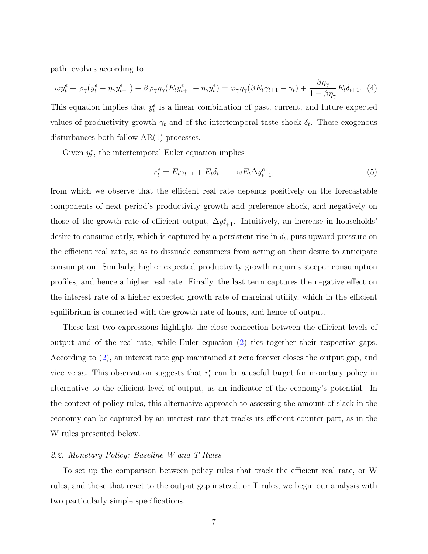path, evolves according to

$$
\omega y_t^e + \varphi_\gamma (y_t^e - \eta_\gamma y_{t-1}^e) - \beta \varphi_\gamma \eta_\gamma (E_t y_{t+1}^e - \eta_\gamma y_t^e) = \varphi_\gamma \eta_\gamma (\beta E_t \gamma_{t+1} - \gamma_t) + \frac{\beta \eta_\gamma}{1 - \beta \eta_\gamma} E_t \delta_{t+1}.
$$
 (4)

This equation implies that  $y_t^e$  is a linear combination of past, current, and future expected values of productivity growth  $\gamma_t$  and of the intertemporal taste shock  $\delta_t$ . These exogenous disturbances both follow AR(1) processes.

Given  $y_t^e$ , the intertemporal Euler equation implies

$$
r_t^e = E_t \gamma_{t+1} + E_t \delta_{t+1} - \omega E_t \Delta y_{t+1}^e,
$$
\n(5)

from which we observe that the efficient real rate depends positively on the forecastable components of next period's productivity growth and preference shock, and negatively on those of the growth rate of efficient output,  $\Delta y_{t+1}^e$ . Intuitively, an increase in households' desire to consume early, which is captured by a persistent rise in  $\delta_t$ , puts upward pressure on the efficient real rate, so as to dissuade consumers from acting on their desire to anticipate consumption. Similarly, higher expected productivity growth requires steeper consumption profiles, and hence a higher real rate. Finally, the last term captures the negative effect on the interest rate of a higher expected growth rate of marginal utility, which in the efficient equilibrium is connected with the growth rate of hours, and hence of output.

These last two expressions highlight the close connection between the efficient levels of output and of the real rate, while Euler equation [\(2\)](#page-4-1) ties together their respective gaps. According to [\(2\)](#page-4-1), an interest rate gap maintained at zero forever closes the output gap, and vice versa. This observation suggests that  $r_t^e$  can be a useful target for monetary policy in alternative to the efficient level of output, as an indicator of the economy's potential. In the context of policy rules, this alternative approach to assessing the amount of slack in the economy can be captured by an interest rate that tracks its efficient counter part, as in the W rules presented below.

#### 2.2. Monetary Policy: Baseline W and T Rules

To set up the comparison between policy rules that track the efficient real rate, or W rules, and those that react to the output gap instead, or T rules, we begin our analysis with two particularly simple specifications.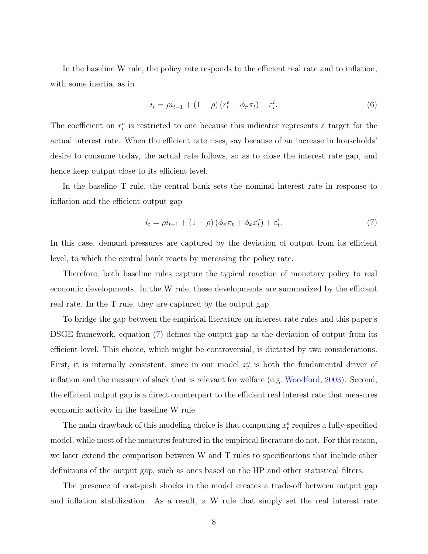In the baseline W rule, the policy rate responds to the efficient real rate and to inflation, with some inertia, as in

$$
i_t = \rho i_{t-1} + (1 - \rho) (r_t^e + \phi_\pi \pi_t) + \varepsilon_t^i.
$$
 (6)

The coefficient on  $r_t^e$  is restricted to one because this indicator represents a target for the actual interest rate. When the efficient rate rises, say because of an increase in households' desire to consume today, the actual rate follows, so as to close the interest rate gap, and hence keep output close to its efficient level.

In the baseline T rule, the central bank sets the nominal interest rate in response to inflation and the efficient output gap

<span id="page-7-0"></span>
$$
i_t = \rho i_{t-1} + (1 - \rho) (\phi_{\pi} \pi_t + \phi_x x_t^e) + \varepsilon_t^i.
$$
 (7)

In this case, demand pressures are captured by the deviation of output from its efficient level, to which the central bank reacts by increasing the policy rate.

Therefore, both baseline rules capture the typical reaction of monetary policy to real economic developments. In the W rule, these developments are summarized by the efficient real rate. In the T rule, they are captured by the output gap.

To bridge the gap between the empirical literature on interest rate rules and this paper's DSGE framework, equation [\(7\)](#page-7-0) defines the output gap as the deviation of output from its efficient level. This choice, which might be controversial, is dictated by two considerations. First, it is internally consistent, since in our model  $x_t^e$  is both the fundamental driver of inflation and the measure of slack that is relevant for welfare (e.g. [Woodford,](#page-22-2) [2003\)](#page-22-2). Second, the efficient output gap is a direct counterpart to the efficient real interest rate that measures economic activity in the baseline W rule.

The main drawback of this modeling choice is that computing  $x_t^e$  requires a fully-specified model, while most of the measures featured in the empirical literature do not. For this reason, we later extend the comparison between W and T rules to specifications that include other definitions of the output gap, such as ones based on the HP and other statistical filters.

The presence of cost-push shocks in the model creates a trade-off between output gap and inflation stabilization. As a result, a W rule that simply set the real interest rate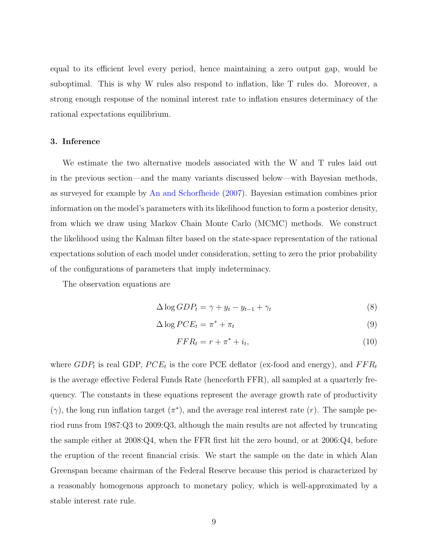equal to its efficient level every period, hence maintaining a zero output gap, would be suboptimal. This is why W rules also respond to inflation, like T rules do. Moreover, a strong enough response of the nominal interest rate to inflation ensures determinacy of the rational expectations equilibrium.

#### <span id="page-8-0"></span>3. Inference

We estimate the two alternative models associated with the W and T rules laid out in the previous section—and the many variants discussed below—with Bayesian methods, as surveyed for example by [An and Schorfheide](#page-20-6) [\(2007\)](#page-20-6). Bayesian estimation combines prior information on the model's parameters with its likelihood function to form a posterior density, from which we draw using Markov Chain Monte Carlo (MCMC) methods. We construct the likelihood using the Kalman filter based on the state-space representation of the rational expectations solution of each model under consideration, setting to zero the prior probability of the configurations of parameters that imply indeterminacy.

The observation equations are

$$
\Delta \log GDP_t = \gamma + y_t - y_{t-1} + \gamma_t \tag{8}
$$

$$
\Delta \log PCE_t = \pi^* + \pi_t \tag{9}
$$

$$
FFR_t = r + \pi^* + i_t,\tag{10}
$$

where  $GDP_t$  is real GDP,  $PCE_t$  is the core PCE deflator (ex-food and energy), and  $FFR_t$ is the average effective Federal Funds Rate (henceforth FFR), all sampled at a quarterly frequency. The constants in these equations represent the average growth rate of productivity  $(\gamma)$ , the long run inflation target  $(\pi^*)$ , and the average real interest rate  $(r)$ . The sample period runs from 1987:Q3 to 2009:Q3, although the main results are not affected by truncating the sample either at 2008:Q4, when the FFR first hit the zero bound, or at 2006:Q4, before the eruption of the recent financial crisis. We start the sample on the date in which Alan Greenspan became chairman of the Federal Reserve because this period is characterized by a reasonably homogenous approach to monetary policy, which is well-approximated by a stable interest rate rule.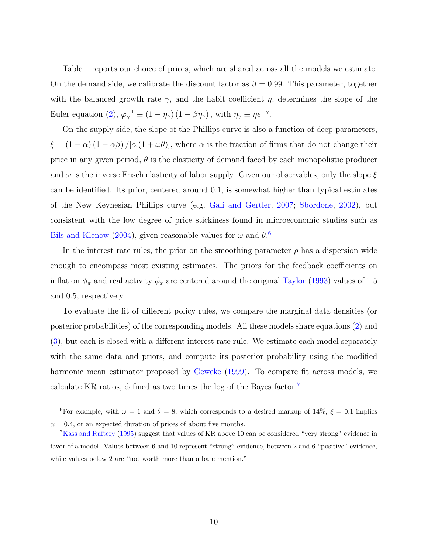Table [1](#page-23-0) reports our choice of priors, which are shared across all the models we estimate. On the demand side, we calibrate the discount factor as  $\beta = 0.99$ . This parameter, together with the balanced growth rate  $\gamma$ , and the habit coefficient  $\eta$ , determines the slope of the Euler equation [\(2\)](#page-4-1),  $\varphi_{\gamma}^{-1} \equiv (1 - \eta_{\gamma}) (1 - \beta \eta_{\gamma})$ , with  $\eta_{\gamma} \equiv \eta e^{-\gamma}$ .

On the supply side, the slope of the Phillips curve is also a function of deep parameters,  $\xi = (1 - \alpha) (1 - \alpha \beta) / [\alpha (1 + \omega \theta)],$  where  $\alpha$  is the fraction of firms that do not change their price in any given period,  $\theta$  is the elasticity of demand faced by each monopolistic producer and  $\omega$  is the inverse Frisch elasticity of labor supply. Given our observables, only the slope  $\xi$ can be identified. Its prior, centered around 0.1, is somewhat higher than typical estimates of the New Keynesian Phillips curve (e.g. [Gal´ı and Gertler,](#page-21-5) [2007;](#page-21-5) [Sbordone,](#page-21-6) [2002\)](#page-21-6), but consistent with the low degree of price stickiness found in microeconomic studies such as [Bils and Klenow](#page-20-7) [\(2004\)](#page-20-7), given reasonable values for  $\omega$  and  $\theta$ .<sup>[6](#page-9-0)</sup>

In the interest rate rules, the prior on the smoothing parameter  $\rho$  has a dispersion wide enough to encompass most existing estimates. The priors for the feedback coefficients on inflation  $\phi_{\pi}$  and real activity  $\phi_x$  are centered around the original [Taylor](#page-22-0) [\(1993\)](#page-22-0) values of 1.5 and 0.5, respectively.

To evaluate the fit of different policy rules, we compare the marginal data densities (or posterior probabilities) of the corresponding models. All these models share equations [\(2\)](#page-4-1) and [\(3\)](#page-4-2), but each is closed with a different interest rate rule. We estimate each model separately with the same data and priors, and compute its posterior probability using the modified harmonic mean estimator proposed by [Geweke](#page-21-7) [\(1999\)](#page-21-7). To compare fit across models, we calculate KR ratios, defined as two times the log of the Bayes factor.[7](#page-9-1)

<span id="page-9-0"></span><sup>&</sup>lt;sup>6</sup>For example, with  $\omega = 1$  and  $\theta = 8$ , which corresponds to a desired markup of 14%,  $\xi = 0.1$  implies  $\alpha = 0.4$ , or an expected duration of prices of about five months.

<span id="page-9-1"></span><sup>7</sup>[Kass and Raftery](#page-21-8) [\(1995\)](#page-21-8) suggest that values of KR above 10 can be considered "very strong" evidence in favor of a model. Values between 6 and 10 represent "strong" evidence, between 2 and 6 "positive" evidence, while values below 2 are "not worth more than a bare mention."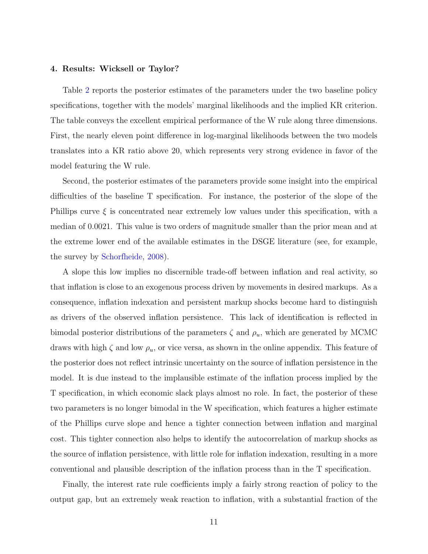#### <span id="page-10-0"></span>4. Results: Wicksell or Taylor?

Table [2](#page-24-0) reports the posterior estimates of the parameters under the two baseline policy specifications, together with the models' marginal likelihoods and the implied KR criterion. The table conveys the excellent empirical performance of the W rule along three dimensions. First, the nearly eleven point difference in log-marginal likelihoods between the two models translates into a KR ratio above 20, which represents very strong evidence in favor of the model featuring the W rule.

Second, the posterior estimates of the parameters provide some insight into the empirical difficulties of the baseline T specification. For instance, the posterior of the slope of the Phillips curve  $\xi$  is concentrated near extremely low values under this specification, with a median of 0.0021. This value is two orders of magnitude smaller than the prior mean and at the extreme lower end of the available estimates in the DSGE literature (see, for example, the survey by [Schorfheide,](#page-21-9) [2008\)](#page-21-9).

A slope this low implies no discernible trade-off between inflation and real activity, so that inflation is close to an exogenous process driven by movements in desired markups. As a consequence, inflation indexation and persistent markup shocks become hard to distinguish as drivers of the observed inflation persistence. This lack of identification is reflected in bimodal posterior distributions of the parameters  $\zeta$  and  $\rho_u$ , which are generated by MCMC draws with high  $\zeta$  and low  $\rho_u$ , or vice versa, as shown in the online appendix. This feature of the posterior does not reflect intrinsic uncertainty on the source of inflation persistence in the model. It is due instead to the implausible estimate of the inflation process implied by the T specification, in which economic slack plays almost no role. In fact, the posterior of these two parameters is no longer bimodal in the W specification, which features a higher estimate of the Phillips curve slope and hence a tighter connection between inflation and marginal cost. This tighter connection also helps to identify the autocorrelation of markup shocks as the source of inflation persistence, with little role for inflation indexation, resulting in a more conventional and plausible description of the inflation process than in the T specification.

Finally, the interest rate rule coefficients imply a fairly strong reaction of policy to the output gap, but an extremely weak reaction to inflation, with a substantial fraction of the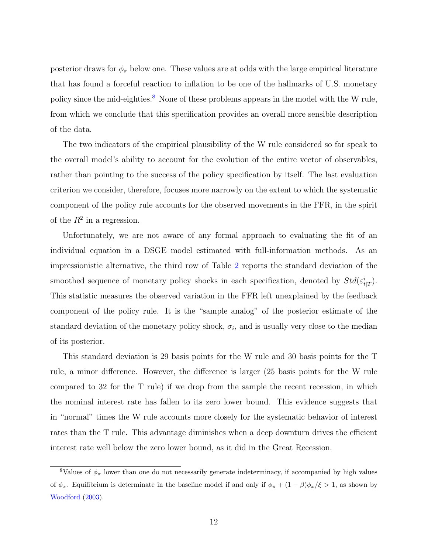posterior draws for  $\phi_{\pi}$  below one. These values are at odds with the large empirical literature that has found a forceful reaction to inflation to be one of the hallmarks of U.S. monetary policy since the mid-eighties.<sup>[8](#page-11-0)</sup> None of these problems appears in the model with the W rule, from which we conclude that this specification provides an overall more sensible description of the data.

The two indicators of the empirical plausibility of the W rule considered so far speak to the overall model's ability to account for the evolution of the entire vector of observables, rather than pointing to the success of the policy specification by itself. The last evaluation criterion we consider, therefore, focuses more narrowly on the extent to which the systematic component of the policy rule accounts for the observed movements in the FFR, in the spirit of the  $R^2$  in a regression.

Unfortunately, we are not aware of any formal approach to evaluating the fit of an individual equation in a DSGE model estimated with full-information methods. As an impressionistic alternative, the third row of Table [2](#page-24-0) reports the standard deviation of the smoothed sequence of monetary policy shocks in each specification, denoted by  $Std(\varepsilon_{t|T}^i)$ . This statistic measures the observed variation in the FFR left unexplained by the feedback component of the policy rule. It is the "sample analog" of the posterior estimate of the standard deviation of the monetary policy shock,  $\sigma_i$ , and is usually very close to the median of its posterior.

This standard deviation is 29 basis points for the W rule and 30 basis points for the T rule, a minor difference. However, the difference is larger (25 basis points for the W rule compared to 32 for the T rule) if we drop from the sample the recent recession, in which the nominal interest rate has fallen to its zero lower bound. This evidence suggests that in "normal" times the W rule accounts more closely for the systematic behavior of interest rates than the T rule. This advantage diminishes when a deep downturn drives the efficient interest rate well below the zero lower bound, as it did in the Great Recession.

<span id="page-11-0"></span><sup>&</sup>lt;sup>8</sup>Values of  $\phi_{\pi}$  lower than one do not necessarily generate indeterminacy, if accompanied by high values of  $\phi_x$ . Equilibrium is determinate in the baseline model if and only if  $\phi_\pi + (1 - \beta)\phi_x/\xi > 1$ , as shown by [Woodford](#page-22-2) [\(2003\)](#page-22-2).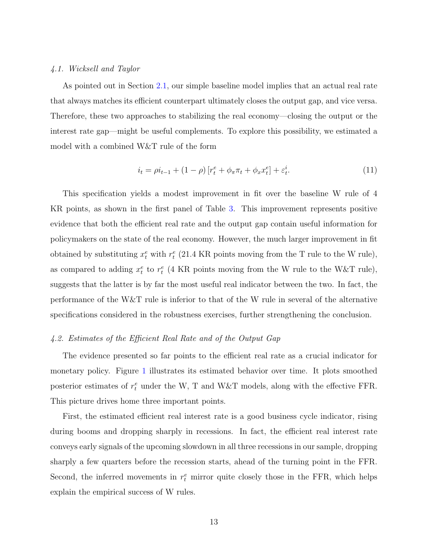#### 4.1. Wicksell and Taylor

As pointed out in Section [2.1,](#page-5-1) our simple baseline model implies that an actual real rate that always matches its efficient counterpart ultimately closes the output gap, and vice versa. Therefore, these two approaches to stabilizing the real economy—closing the output or the interest rate gap—might be useful complements. To explore this possibility, we estimated a model with a combined W&T rule of the form

$$
i_t = \rho i_{t-1} + (1 - \rho) \left[ r_t^e + \phi_\pi \pi_t + \phi_x x_t^e \right] + \varepsilon_t^i. \tag{11}
$$

This specification yields a modest improvement in fit over the baseline W rule of 4 KR points, as shown in the first panel of Table [3.](#page-25-0) This improvement represents positive evidence that both the efficient real rate and the output gap contain useful information for policymakers on the state of the real economy. However, the much larger improvement in fit obtained by substituting  $x_t^e$  with  $r_t^e$  (21.4 KR points moving from the T rule to the W rule), as compared to adding  $x_t^e$  to  $r_t^e$  (4 KR points moving from the W rule to the W&T rule), suggests that the latter is by far the most useful real indicator between the two. In fact, the performance of the W&T rule is inferior to that of the W rule in several of the alternative specifications considered in the robustness exercises, further strengthening the conclusion.

#### <span id="page-12-0"></span>4.2. Estimates of the Efficient Real Rate and of the Output Gap

The evidence presented so far points to the efficient real rate as a crucial indicator for monetary policy. Figure [1](#page-26-0) illustrates its estimated behavior over time. It plots smoothed posterior estimates of  $r_t^e$  under the W, T and W&T models, along with the effective FFR. This picture drives home three important points.

First, the estimated efficient real interest rate is a good business cycle indicator, rising during booms and dropping sharply in recessions. In fact, the efficient real interest rate conveys early signals of the upcoming slowdown in all three recessions in our sample, dropping sharply a few quarters before the recession starts, ahead of the turning point in the FFR. Second, the inferred movements in  $r_t^e$  mirror quite closely those in the FFR, which helps explain the empirical success of W rules.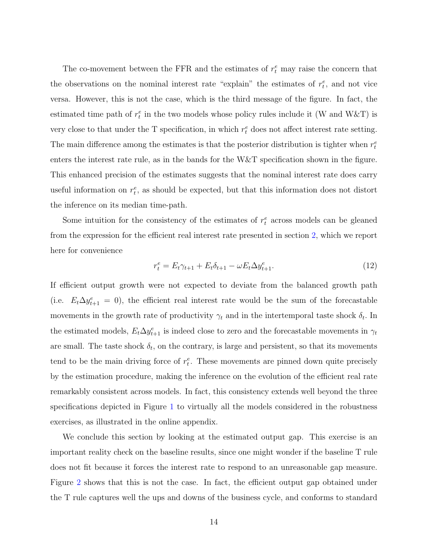The co-movement between the FFR and the estimates of  $r_t^e$  may raise the concern that the observations on the nominal interest rate "explain" the estimates of  $r_t^e$ , and not vice versa. However, this is not the case, which is the third message of the figure. In fact, the estimated time path of  $r_t^e$  in the two models whose policy rules include it (W and W&T) is very close to that under the T specification, in which  $r_t^e$  does not affect interest rate setting. The main difference among the estimates is that the posterior distribution is tighter when  $r_t^e$ enters the interest rate rule, as in the bands for the W&T specification shown in the figure. This enhanced precision of the estimates suggests that the nominal interest rate does carry useful information on  $r_t^e$ , as should be expected, but that this information does not distort the inference on its median time-path.

Some intuition for the consistency of the estimates of  $r_t^e$  across models can be gleaned from the expression for the efficient real interest rate presented in section [2,](#page-4-0) which we report here for convenience

$$
r_t^e = E_t \gamma_{t+1} + E_t \delta_{t+1} - \omega E_t \Delta y_{t+1}^e.
$$
\n(12)

If efficient output growth were not expected to deviate from the balanced growth path (i.e.  $E_t \Delta y_{t+1}^e = 0$ ), the efficient real interest rate would be the sum of the forecastable movements in the growth rate of productivity  $\gamma_t$  and in the intertemporal taste shock  $\delta_t$ . In the estimated models,  $E_t \Delta y_{t+1}^e$  is indeed close to zero and the forecastable movements in  $\gamma_t$ are small. The taste shock  $\delta_t$ , on the contrary, is large and persistent, so that its movements tend to be the main driving force of  $r_t^e$ . These movements are pinned down quite precisely by the estimation procedure, making the inference on the evolution of the efficient real rate remarkably consistent across models. In fact, this consistency extends well beyond the three specifications depicted in Figure [1](#page-26-0) to virtually all the models considered in the robustness exercises, as illustrated in the online appendix.

We conclude this section by looking at the estimated output gap. This exercise is an important reality check on the baseline results, since one might wonder if the baseline T rule does not fit because it forces the interest rate to respond to an unreasonable gap measure. Figure [2](#page-27-0) shows that this is not the case. In fact, the efficient output gap obtained under the T rule captures well the ups and downs of the business cycle, and conforms to standard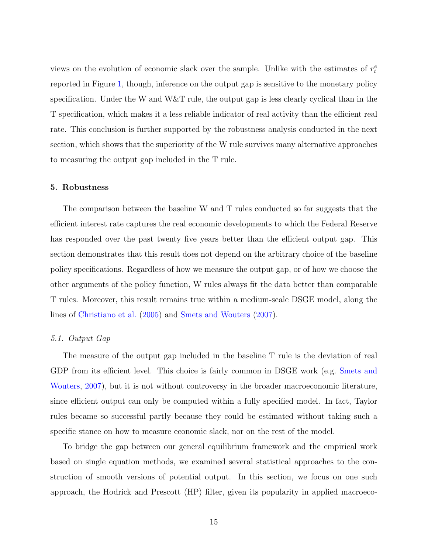views on the evolution of economic slack over the sample. Unlike with the estimates of  $r_t^e$ reported in Figure [1,](#page-26-0) though, inference on the output gap is sensitive to the monetary policy specification. Under the W and W&T rule, the output gap is less clearly cyclical than in the T specification, which makes it a less reliable indicator of real activity than the efficient real rate. This conclusion is further supported by the robustness analysis conducted in the next section, which shows that the superiority of the W rule survives many alternative approaches to measuring the output gap included in the T rule.

#### <span id="page-14-0"></span>5. Robustness

The comparison between the baseline W and T rules conducted so far suggests that the efficient interest rate captures the real economic developments to which the Federal Reserve has responded over the past twenty five years better than the efficient output gap. This section demonstrates that this result does not depend on the arbitrary choice of the baseline policy specifications. Regardless of how we measure the output gap, or of how we choose the other arguments of the policy function, W rules always fit the data better than comparable T rules. Moreover, this result remains true within a medium-scale DSGE model, along the lines of [Christiano et al.](#page-20-4) [\(2005\)](#page-20-4) and [Smets and Wouters](#page-22-4) [\(2007\)](#page-22-4).

## 5.1. Output Gap

The measure of the output gap included in the baseline T rule is the deviation of real GDP from its efficient level. This choice is fairly common in DSGE work (e.g. [Smets and](#page-22-4) [Wouters,](#page-22-4) [2007\)](#page-22-4), but it is not without controversy in the broader macroeconomic literature, since efficient output can only be computed within a fully specified model. In fact, Taylor rules became so successful partly because they could be estimated without taking such a specific stance on how to measure economic slack, nor on the rest of the model.

To bridge the gap between our general equilibrium framework and the empirical work based on single equation methods, we examined several statistical approaches to the construction of smooth versions of potential output. In this section, we focus on one such approach, the Hodrick and Prescott (HP) filter, given its popularity in applied macroeco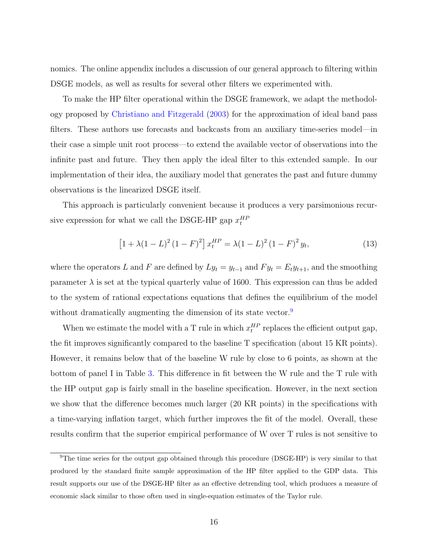nomics. The online appendix includes a discussion of our general approach to filtering within DSGE models, as well as results for several other filters we experimented with.

To make the HP filter operational within the DSGE framework, we adapt the methodology proposed by [Christiano and Fitzgerald](#page-20-8) [\(2003\)](#page-20-8) for the approximation of ideal band pass filters. These authors use forecasts and backcasts from an auxiliary time-series model—in their case a simple unit root process—to extend the available vector of observations into the infinite past and future. They then apply the ideal filter to this extended sample. In our implementation of their idea, the auxiliary model that generates the past and future dummy observations is the linearized DSGE itself.

This approach is particularly convenient because it produces a very parsimonious recursive expression for what we call the DSGE-HP gap  $x_t^{HF}$ 

$$
\left[1 + \lambda (1 - L)^2 (1 - F)^2\right] x_t^{HP} = \lambda (1 - L)^2 (1 - F)^2 y_t,
$$
\n(13)

where the operators L and F are defined by  $Ly_t = y_{t-1}$  and  $F y_t = E_t y_{t+1}$ , and the smoothing parameter  $\lambda$  is set at the typical quarterly value of 1600. This expression can thus be added to the system of rational expectations equations that defines the equilibrium of the model without dramatically augmenting the dimension of its state vector.<sup>[9](#page-15-0)</sup>

When we estimate the model with a T rule in which  $x_t^{HP}$  replaces the efficient output gap, the fit improves significantly compared to the baseline T specification (about 15 KR points). However, it remains below that of the baseline W rule by close to 6 points, as shown at the bottom of panel I in Table [3.](#page-25-0) This difference in fit between the W rule and the T rule with the HP output gap is fairly small in the baseline specification. However, in the next section we show that the difference becomes much larger (20 KR points) in the specifications with a time-varying inflation target, which further improves the fit of the model. Overall, these results confirm that the superior empirical performance of W over T rules is not sensitive to

<span id="page-15-0"></span><sup>&</sup>lt;sup>9</sup>The time series for the output gap obtained through this procedure (DSGE-HP) is very similar to that produced by the standard finite sample approximation of the HP filter applied to the GDP data. This result supports our use of the DSGE-HP filter as an effective detrending tool, which produces a measure of economic slack similar to those often used in single-equation estimates of the Taylor rule.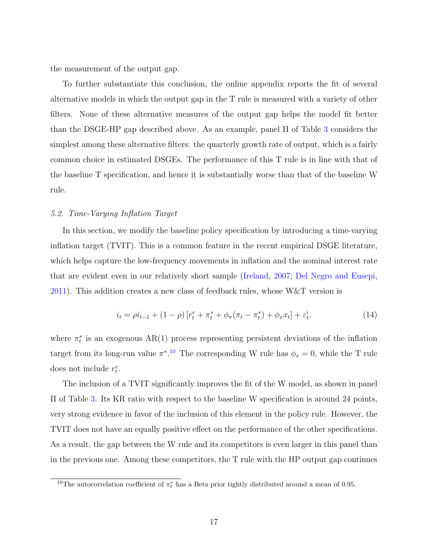the measurement of the output gap.

To further substantiate this conclusion, the online appendix reports the fit of several alternative models in which the output gap in the T rule is measured with a variety of other filters. None of these alternative measures of the output gap helps the model fit better than the DSGE-HP gap described above. As an example, panel II of Table [3](#page-25-0) considers the simplest among these alternative filters: the quarterly growth rate of output, which is a fairly common choice in estimated DSGEs. The performance of this T rule is in line with that of the baseline T specification, and hence it is substantially worse than that of the baseline W rule.

## 5.2. Time-Varying Inflation Target

In this section, we modify the baseline policy specification by introducing a time-varying inflation target (TVIT). This is a common feature in the recent empirical DSGE literature, which helps capture the low-frequency movements in inflation and the nominal interest rate that are evident even in our relatively short sample [\(Ireland,](#page-21-10) [2007;](#page-21-10) [Del Negro and Eusepi,](#page-20-9) [2011\)](#page-20-9). This addition creates a new class of feedback rules, whose  $W&T$  version is

$$
i_t = \rho i_{t-1} + (1 - \rho) \left[ r_t^e + \pi_t^* + \phi_\pi(\pi_t - \pi_t^*) + \phi_x x_t \right] + \varepsilon_t^i, \tag{14}
$$

where  $\pi_t^*$  is an exogenous AR(1) process representing persistent deviations of the inflation target from its long-run value  $\pi^*$ .<sup>[10](#page-16-0)</sup> The corresponding W rule has  $\phi_x = 0$ , while the T rule does not include  $r_t^e$ .

The inclusion of a TVIT significantly improves the fit of the W model, as shown in panel II of Table [3.](#page-25-0) Its KR ratio with respect to the baseline W specification is around 24 points, very strong evidence in favor of the inclusion of this element in the policy rule. However, the TVIT does not have an equally positive effect on the performance of the other specifications. As a result, the gap between the W rule and its competitors is even larger in this panel than in the previous one. Among these competitors, the T rule with the HP output gap continues

<span id="page-16-0"></span><sup>&</sup>lt;sup>10</sup>The autocorrelation coefficient of  $\pi_t^*$  has a Beta prior tightly distributed around a mean of 0.95.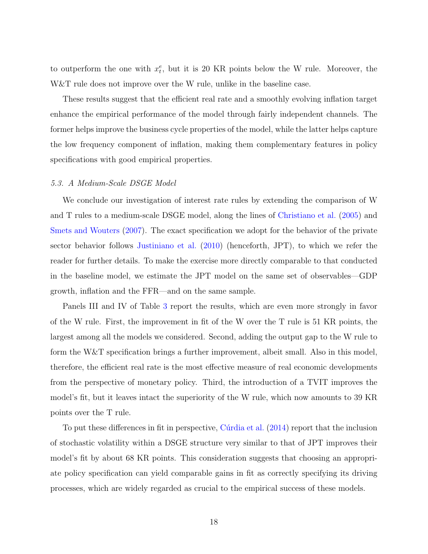to outperform the one with  $x_t^e$ , but it is 20 KR points below the W rule. Moreover, the W&T rule does not improve over the W rule, unlike in the baseline case.

These results suggest that the efficient real rate and a smoothly evolving inflation target enhance the empirical performance of the model through fairly independent channels. The former helps improve the business cycle properties of the model, while the latter helps capture the low frequency component of inflation, making them complementary features in policy specifications with good empirical properties.

#### <span id="page-17-0"></span>5.3. A Medium-Scale DSGE Model

We conclude our investigation of interest rate rules by extending the comparison of W and T rules to a medium-scale DSGE model, along the lines of [Christiano et al.](#page-20-4) [\(2005\)](#page-20-4) and [Smets and Wouters](#page-22-4) [\(2007\)](#page-22-4). The exact specification we adopt for the behavior of the private sector behavior follows [Justiniano et al.](#page-21-11) [\(2010\)](#page-21-11) (henceforth, JPT), to which we refer the reader for further details. To make the exercise more directly comparable to that conducted in the baseline model, we estimate the JPT model on the same set of observables—GDP growth, inflation and the FFR—and on the same sample.

Panels III and IV of Table [3](#page-25-0) report the results, which are even more strongly in favor of the W rule. First, the improvement in fit of the W over the T rule is 51 KR points, the largest among all the models we considered. Second, adding the output gap to the W rule to form the W&T specification brings a further improvement, albeit small. Also in this model, therefore, the efficient real rate is the most effective measure of real economic developments from the perspective of monetary policy. Third, the introduction of a TVIT improves the model's fit, but it leaves intact the superiority of the W rule, which now amounts to 39 KR points over the T rule.

To put these differences in fit in perspective, Curdia et al. [\(2014\)](#page-20-3) report that the inclusion of stochastic volatility within a DSGE structure very similar to that of JPT improves their model's fit by about 68 KR points. This consideration suggests that choosing an appropriate policy specification can yield comparable gains in fit as correctly specifying its driving processes, which are widely regarded as crucial to the empirical success of these models.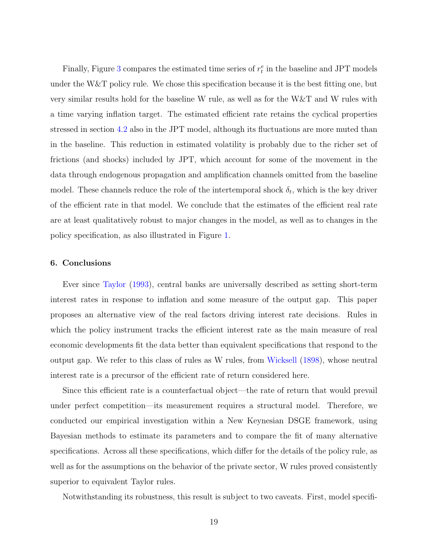Finally, Figure [3](#page-28-0) compares the estimated time series of  $r_t^e$  in the baseline and JPT models under the W&T policy rule. We chose this specification because it is the best fitting one, but very similar results hold for the baseline W rule, as well as for the W&T and W rules with a time varying inflation target. The estimated efficient rate retains the cyclical properties stressed in section [4.2](#page-12-0) also in the JPT model, although its fluctuations are more muted than in the baseline. This reduction in estimated volatility is probably due to the richer set of frictions (and shocks) included by JPT, which account for some of the movement in the data through endogenous propagation and amplification channels omitted from the baseline model. These channels reduce the role of the intertemporal shock  $\delta_t$ , which is the key driver of the efficient rate in that model. We conclude that the estimates of the efficient real rate are at least qualitatively robust to major changes in the model, as well as to changes in the policy specification, as also illustrated in Figure [1.](#page-26-0)

## <span id="page-18-0"></span>6. Conclusions

Ever since [Taylor](#page-22-0) [\(1993\)](#page-22-0), central banks are universally described as setting short-term interest rates in response to inflation and some measure of the output gap. This paper proposes an alternative view of the real factors driving interest rate decisions. Rules in which the policy instrument tracks the efficient interest rate as the main measure of real economic developments fit the data better than equivalent specifications that respond to the output gap. We refer to this class of rules as W rules, from [Wicksell](#page-22-1) [\(1898\)](#page-22-1), whose neutral interest rate is a precursor of the efficient rate of return considered here.

Since this efficient rate is a counterfactual object—the rate of return that would prevail under perfect competition—its measurement requires a structural model. Therefore, we conducted our empirical investigation within a New Keynesian DSGE framework, using Bayesian methods to estimate its parameters and to compare the fit of many alternative specifications. Across all these specifications, which differ for the details of the policy rule, as well as for the assumptions on the behavior of the private sector, W rules proved consistently superior to equivalent Taylor rules.

Notwithstanding its robustness, this result is subject to two caveats. First, model specifi-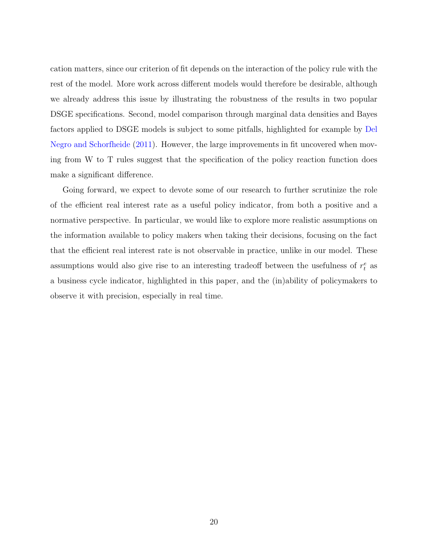cation matters, since our criterion of fit depends on the interaction of the policy rule with the rest of the model. More work across different models would therefore be desirable, although we already address this issue by illustrating the robustness of the results in two popular DSGE specifications. Second, model comparison through marginal data densities and Bayes factors applied to DSGE models is subject to some pitfalls, highlighted for example by [Del](#page-20-10) [Negro and Schorfheide](#page-20-10) [\(2011\)](#page-20-10). However, the large improvements in fit uncovered when moving from W to T rules suggest that the specification of the policy reaction function does make a significant difference.

Going forward, we expect to devote some of our research to further scrutinize the role of the efficient real interest rate as a useful policy indicator, from both a positive and a normative perspective. In particular, we would like to explore more realistic assumptions on the information available to policy makers when taking their decisions, focusing on the fact that the efficient real interest rate is not observable in practice, unlike in our model. These assumptions would also give rise to an interesting tradeoff between the usefulness of  $r_t^e$  as a business cycle indicator, highlighted in this paper, and the (in)ability of policymakers to observe it with precision, especially in real time.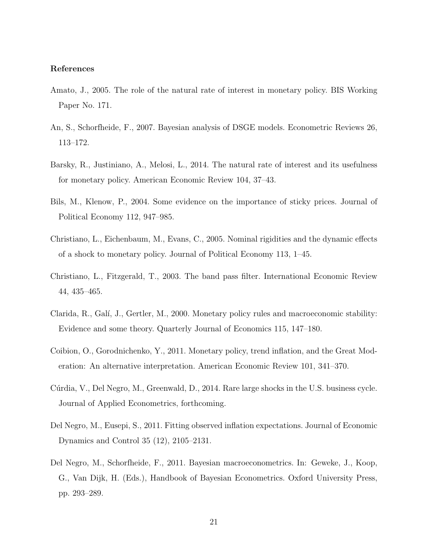# References

- <span id="page-20-2"></span>Amato, J., 2005. The role of the natural rate of interest in monetary policy. BIS Working Paper No. 171.
- <span id="page-20-6"></span>An, S., Schorfheide, F., 2007. Bayesian analysis of DSGE models. Econometric Reviews 26, 113–172.
- <span id="page-20-5"></span>Barsky, R., Justiniano, A., Melosi, L., 2014. The natural rate of interest and its usefulness for monetary policy. American Economic Review 104, 37–43.
- <span id="page-20-7"></span>Bils, M., Klenow, P., 2004. Some evidence on the importance of sticky prices. Journal of Political Economy 112, 947–985.
- <span id="page-20-4"></span>Christiano, L., Eichenbaum, M., Evans, C., 2005. Nominal rigidities and the dynamic effects of a shock to monetary policy. Journal of Political Economy 113, 1–45.
- <span id="page-20-8"></span>Christiano, L., Fitzgerald, T., 2003. The band pass filter. International Economic Review 44, 435–465.
- <span id="page-20-0"></span>Clarida, R., Galí, J., Gertler, M., 2000. Monetary policy rules and macroeconomic stability: Evidence and some theory. Quarterly Journal of Economics 115, 147–180.
- <span id="page-20-1"></span>Coibion, O., Gorodnichenko, Y., 2011. Monetary policy, trend inflation, and the Great Moderation: An alternative interpretation. American Economic Review 101, 341–370.
- <span id="page-20-3"></span>Cúrdia, V., Del Negro, M., Greenwald, D., 2014. Rare large shocks in the U.S. business cycle. Journal of Applied Econometrics, forthcoming.
- <span id="page-20-9"></span>Del Negro, M., Eusepi, S., 2011. Fitting observed inflation expectations. Journal of Economic Dynamics and Control 35 (12), 2105–2131.
- <span id="page-20-10"></span>Del Negro, M., Schorfheide, F., 2011. Bayesian macroeconometrics. In: Geweke, J., Koop, G., Van Dijk, H. (Eds.), Handbook of Bayesian Econometrics. Oxford University Press, pp. 293–289.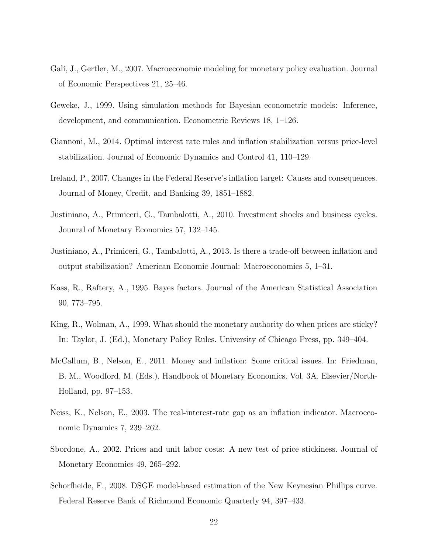- <span id="page-21-5"></span>Galí, J., Gertler, M., 2007. Macroeconomic modeling for monetary policy evaluation. Journal of Economic Perspectives 21, 25–46.
- <span id="page-21-7"></span>Geweke, J., 1999. Using simulation methods for Bayesian econometric models: Inference, development, and communication. Econometric Reviews 18, 1–126.
- <span id="page-21-0"></span>Giannoni, M., 2014. Optimal interest rate rules and inflation stabilization versus price-level stabilization. Journal of Economic Dynamics and Control 41, 110–129.
- <span id="page-21-10"></span>Ireland, P., 2007. Changes in the Federal Reserve's inflation target: Causes and consequences. Journal of Money, Credit, and Banking 39, 1851–1882.
- <span id="page-21-11"></span>Justiniano, A., Primiceri, G., Tambalotti, A., 2010. Investment shocks and business cycles. Jounral of Monetary Economics 57, 132–145.
- <span id="page-21-3"></span>Justiniano, A., Primiceri, G., Tambalotti, A., 2013. Is there a trade-off between inflation and output stabilization? American Economic Journal: Macroeconomics 5, 1–31.
- <span id="page-21-8"></span>Kass, R., Raftery, A., 1995. Bayes factors. Journal of the American Statistical Association 90, 773–795.
- <span id="page-21-2"></span>King, R., Wolman, A., 1999. What should the monetary authority do when prices are sticky? In: Taylor, J. (Ed.), Monetary Policy Rules. University of Chicago Press, pp. 349–404.
- <span id="page-21-4"></span>McCallum, B., Nelson, E., 2011. Money and inflation: Some critical issues. In: Friedman, B. M., Woodford, M. (Eds.), Handbook of Monetary Economics. Vol. 3A. Elsevier/North-Holland, pp. 97–153.
- <span id="page-21-1"></span>Neiss, K., Nelson, E., 2003. The real-interest-rate gap as an inflation indicator. Macroeconomic Dynamics 7, 239–262.
- <span id="page-21-6"></span>Sbordone, A., 2002. Prices and unit labor costs: A new test of price stickiness. Journal of Monetary Economics 49, 265–292.
- <span id="page-21-9"></span>Schorfheide, F., 2008. DSGE model-based estimation of the New Keynesian Phillips curve. Federal Reserve Bank of Richmond Economic Quarterly 94, 397–433.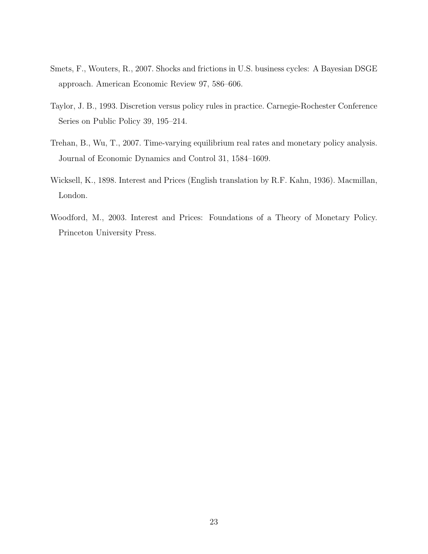- <span id="page-22-4"></span>Smets, F., Wouters, R., 2007. Shocks and frictions in U.S. business cycles: A Bayesian DSGE approach. American Economic Review 97, 586–606.
- <span id="page-22-0"></span>Taylor, J. B., 1993. Discretion versus policy rules in practice. Carnegie-Rochester Conference Series on Public Policy 39, 195–214.
- <span id="page-22-3"></span>Trehan, B., Wu, T., 2007. Time-varying equilibrium real rates and monetary policy analysis. Journal of Economic Dynamics and Control 31, 1584–1609.
- <span id="page-22-1"></span>Wicksell, K., 1898. Interest and Prices (English translation by R.F. Kahn, 1936). Macmillan, London.
- <span id="page-22-2"></span>Woodford, M., 2003. Interest and Prices: Foundations of a Theory of Monetary Policy. Princeton University Press.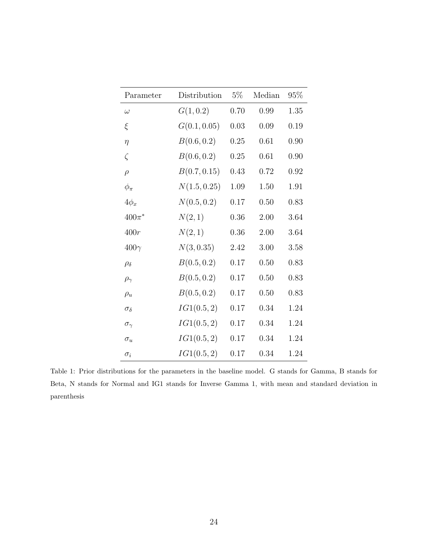| Parameter         | Distribution | $5\%$    | Median | $95\%$ |
|-------------------|--------------|----------|--------|--------|
| $\omega$          | G(1, 0.2)    | 0.70     | 0.99   | 1.35   |
| ξ                 | G(0.1, 0.05) | 0.03     | 0.09   | 0.19   |
| $\eta$            | B(0.6, 0.2)  | 0.25     | 0.61   | 0.90   |
| $\zeta$           | B(0.6, 0.2)  | 0.25     | 0.61   | 0.90   |
| $\rho$            | B(0.7, 0.15) | 0.43     | 0.72   | 0.92   |
| $\phi_{\pi}$      | N(1.5, 0.25) | 1.09     | 1.50   | 1.91   |
| $4\phi_x$         | N(0.5, 0.2)  | $0.17\,$ | 0.50   | 0.83   |
| $400\pi^{*}$      | N(2,1)       | 0.36     | 2.00   | 3.64   |
| 400r              | N(2, 1)      | 0.36     | 2.00   | 3.64   |
| $400\gamma$       | N(3, 0.35)   | 2.42     | 3.00   | 3.58   |
| $\rho_{\delta}$   | B(0.5, 0.2)  | 0.17     | 0.50   | 0.83   |
| $\rho_{\gamma}$   | B(0.5, 0.2)  | 0.17     | 0.50   | 0.83   |
| $\rho_u$          | B(0.5, 0.2)  | 0.17     | 0.50   | 0.83   |
| $\sigma_{\delta}$ | IG1(0.5, 2)  | 0.17     | 0.34   | 1.24   |
| $\sigma_{\gamma}$ | IG1(0.5, 2)  | 0.17     | 0.34   | 1.24   |
| $\sigma_u$        | IG1(0.5, 2)  | 0.17     | 0.34   | 1.24   |
| $\sigma_i$        | IG1(0.5, 2)  | 0.17     | 0.34   | 1.24   |

<span id="page-23-0"></span>Table 1: Prior distributions for the parameters in the baseline model. G stands for Gamma, B stands for Beta, N stands for Normal and IG1 stands for Inverse Gamma 1, with mean and standard deviation in parenthesis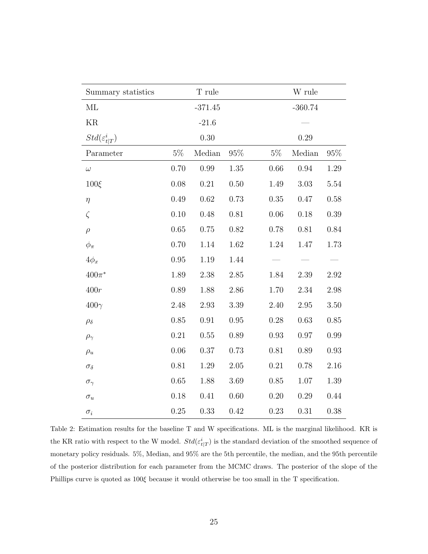| Summary statistics         |              | T rule    |          |            | W rule    |            |  |
|----------------------------|--------------|-----------|----------|------------|-----------|------------|--|
| $\rm ML$                   |              | $-371.45$ |          |            | $-360.74$ |            |  |
| $\rm KR$                   |              | $-21.6$   |          |            |           |            |  |
| $Std(\varepsilon^i_{t T})$ | 0.30<br>0.29 |           |          |            |           |            |  |
| Parameter                  | $5\%$        | Median    | $95\%$   | $5\%$      | Median    | 95\%       |  |
| $\omega$                   | 0.70         | 0.99      | $1.35\,$ | 0.66       | 0.94      | 1.29       |  |
| $100\xi$                   | 0.08         | 0.21      | 0.50     | 1.49       | 3.03      | 5.54       |  |
| $\eta$                     | 0.49         | $0.62\,$  | $0.73\,$ | $0.35\,$   | $0.47\,$  | $0.58\,$   |  |
| $\zeta$                    | 0.10         | 0.48      | 0.81     | $0.06\,$   | 0.18      | 0.39       |  |
| $\rho$                     | 0.65         | 0.75      | 0.82     | 0.78       | 0.81      | 0.84       |  |
| $\phi_{\pi}$               | 0.70         | 1.14      | 1.62     | $1.24\,$   | 1.47      | $1.73\,$   |  |
| $4\phi_x$                  | $0.95\,$     | 1.19      | 1.44     |            |           |            |  |
| $400\pi^*$                 | 1.89         | 2.38      | 2.85     | 1.84       | 2.39      | 2.92       |  |
| 400r                       | 0.89         | 1.88      | 2.86     | 1.70       | 2.34      | $2.98\,$   |  |
| $400\gamma$                | 2.48         | $2.93\,$  | 3.39     | 2.40       | $2.95\,$  | $3.50\,$   |  |
| $\rho_{\delta}$            | 0.85         | 0.91      | $0.95\,$ | 0.28       | 0.63      | 0.85       |  |
| $\rho_{\gamma}$            | $0.21\,$     | 0.55      | 0.89     | $\rm 0.93$ | $0.97\,$  | 0.99       |  |
| $\rho_u$                   | 0.06         | $0.37\,$  | 0.73     | 0.81       | $0.89\,$  | $\rm 0.93$ |  |
| $\sigma_{\delta}$          | 0.81         | 1.29      | $2.05\,$ | 0.21       | 0.78      | 2.16       |  |
| $\sigma_{\gamma}$          | 0.65         | 1.88      | 3.69     | 0.85       | $1.07\,$  | $1.39\,$   |  |
| $\sigma_u$                 | 0.18         | 0.41      | 0.60     | $0.20\,$   | $0.29\,$  | 0.44       |  |
| $\sigma_i$                 | 0.25         | 0.33      | 0.42     | 0.23       | 0.31      | 0.38       |  |

<span id="page-24-0"></span>Table 2: Estimation results for the baseline T and W specifications. ML is the marginal likelihood. KR is the KR ratio with respect to the W model.  $Std(\varepsilon_{t|T}^i)$  is the standard deviation of the smoothed sequence of monetary policy residuals. 5%, Median, and 95% are the 5th percentile, the median, and the 95th percentile of the posterior distribution for each parameter from the MCMC draws. The posterior of the slope of the Phillips curve is quoted as 100ξ because it would otherwise be too small in the T specification.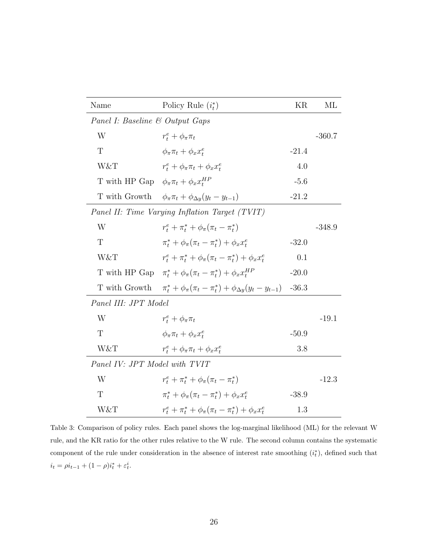| Name                                           | Policy Rule $(i_t^*)$                                                  | KR      | ML       |  |  |  |
|------------------------------------------------|------------------------------------------------------------------------|---------|----------|--|--|--|
| Panel I: Baseline & Output Gaps                |                                                                        |         |          |  |  |  |
| W                                              | $r_t^e + \phi_\pi \pi_t$                                               |         | $-360.7$ |  |  |  |
| T                                              | $\phi_{\pi} \pi_t + \phi_{\pi} x_{t}^e$                                | $-21.4$ |          |  |  |  |
| W&T                                            | $r_{t}^{e} + \phi_{\pi} \pi_{t} + \phi_{\tau} x_{t}^{e}$               | 4.0     |          |  |  |  |
| T with HP Gap                                  | $\phi_{\pi} \pi_t + \phi_x x_t^{HP}$                                   | $-5.6$  |          |  |  |  |
| T with Growth                                  | $\phi_{\pi} \pi_t + \phi_{\Delta u} (y_t - y_{t-1})$                   | $-21.2$ |          |  |  |  |
| Panel II: Time Varying Inflation Target (TVIT) |                                                                        |         |          |  |  |  |
| W                                              | $r_{t}^{e} + \pi_{t}^{*} + \phi_{\pi}(\pi_{t} - \pi_{t}^{*})$          |         | $-348.9$ |  |  |  |
| T                                              | $\pi^* + \phi_\pi(\pi_t - \pi^*) + \phi_r x_t^e$                       | $-32.0$ |          |  |  |  |
| W&T                                            | $r_t^e + \pi_t^* + \phi_\pi(\pi_t - \pi_t^*) + \phi_x x_t^e$           | 0.1     |          |  |  |  |
| T with HP Gap                                  | $\pi_t^* + \phi_\pi(\pi_t - \pi_t^*) + \phi_x x_t^{HP}$                | $-20.0$ |          |  |  |  |
| T with Growth                                  | $\pi_t^* + \phi_\pi(\pi_t - \pi_t^*) + \phi_{\Delta y}(y_t - y_{t-1})$ | $-36.3$ |          |  |  |  |
| Panel III: JPT Model                           |                                                                        |         |          |  |  |  |
| W                                              | $r_t^e + \phi_\pi \pi_t$                                               |         | $-19.1$  |  |  |  |
| T                                              | $\phi_{\pi} \pi_t + \phi_{\pi} x_{t}^e$                                | $-50.9$ |          |  |  |  |
| W&T                                            | $r_t^e + \phi_\pi \pi_t + \phi_x x_t^e$                                | 3.8     |          |  |  |  |
| Panel IV: JPT Model with TVIT                  |                                                                        |         |          |  |  |  |
| W                                              | $r_{t}^{e} + \pi_{t}^{*} + \phi_{\pi}(\pi_{t} - \pi_{t}^{*})$          |         | $-12.3$  |  |  |  |
| $\mathbf T$                                    | $\pi^* + \phi_\pi(\pi_t - \pi^*) + \phi_r x_t^e$                       | $-38.9$ |          |  |  |  |
| W&T                                            | $r_t^e + \pi_t^* + \phi_\pi(\pi_t - \pi_t^*) + \phi_x x_t^e$           | 1.3     |          |  |  |  |

<span id="page-25-0"></span>Table 3: Comparison of policy rules. Each panel shows the log-marginal likelihood (ML) for the relevant W rule, and the KR ratio for the other rules relative to the W rule. The second column contains the systematic component of the rule under consideration in the absence of interest rate smoothing  $(i<sub>t</sub><sup>*</sup>)$ , defined such that  $i_t = \rho i_{t-1} + (1 - \rho) i_t^* + \varepsilon_t^i$ .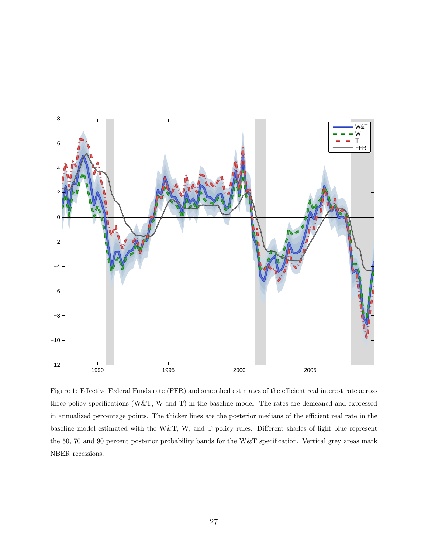

<span id="page-26-0"></span>Figure 1: Effective Federal Funds rate (FFR) and smoothed estimates of the efficient real interest rate across three policy specifications (W&T, W and T) in the baseline model. The rates are demeaned and expressed in annualized percentage points. The thicker lines are the posterior medians of the efficient real rate in the baseline model estimated with the W&T, W, and T policy rules. Different shades of light blue represent the 50, 70 and 90 percent posterior probability bands for the W&T specification. Vertical grey areas mark NBER recessions.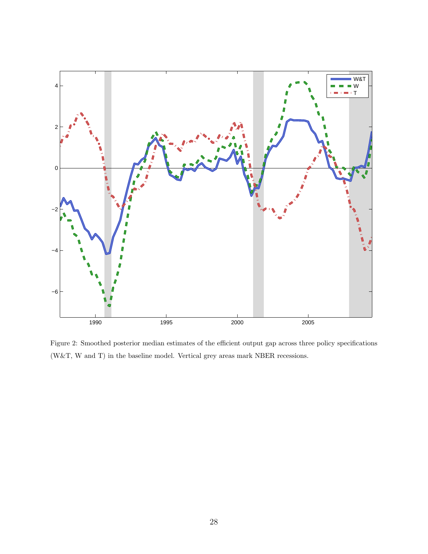

<span id="page-27-0"></span>Figure 2: Smoothed posterior median estimates of the efficient output gap across three policy specifications (W&T, W and T) in the baseline model. Vertical grey areas mark NBER recessions.